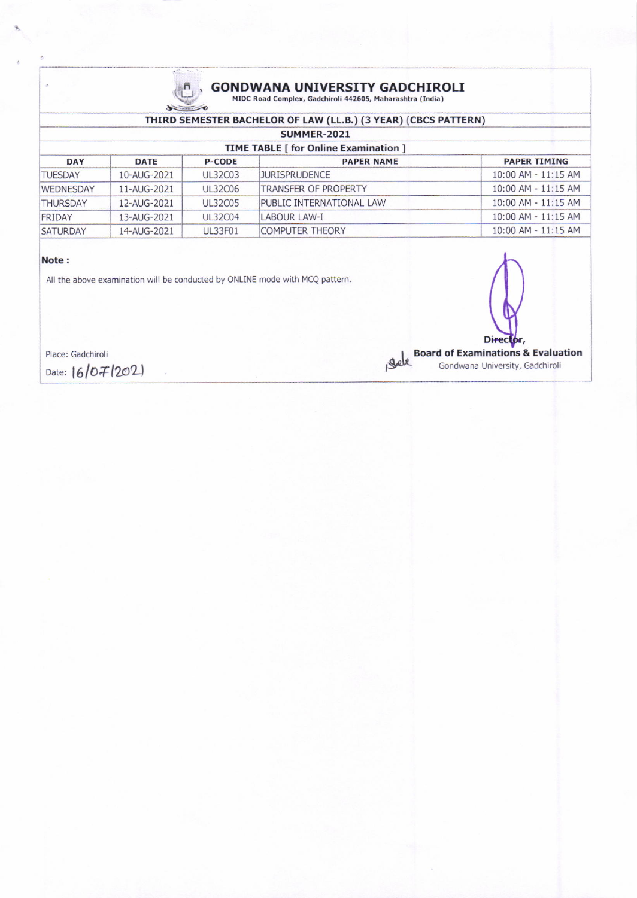

# **GONDWANA UNIVERSITY GADCHIROLI** MIDC Road Complex, Gadchiroli 442605, Maharashtra (India)

| THIRD SEMESTER BACHELOR OF LAW (LL.B.) (3 YEAR) (CBCS PATTERN) |             |                |                          |                         |  |  |  |  |
|----------------------------------------------------------------|-------------|----------------|--------------------------|-------------------------|--|--|--|--|
| SUMMER-2021                                                    |             |                |                          |                         |  |  |  |  |
| <b>TIME TABLE [ for Online Examination ]</b>                   |             |                |                          |                         |  |  |  |  |
| <b>DAY</b>                                                     | <b>DATE</b> | <b>P-CODE</b>  | <b>PAPER NAME</b>        | <b>PAPER TIMING</b>     |  |  |  |  |
| <b>TUESDAY</b>                                                 | 10-AUG-2021 | <b>UL32C03</b> | <b>JURISPRUDENCE</b>     | $10:00$ AM - $11:15$ AM |  |  |  |  |
| WEDNESDAY                                                      | 11-AUG-2021 | UL32C06        | TRANSFER OF PROPERTY     | $10:00$ AM - $11:15$ AM |  |  |  |  |
| <b>THURSDAY</b>                                                | 12-AUG-2021 | <b>UL32C05</b> | PUBLIC INTERNATIONAL LAW | 10:00 AM - 11:15 AM     |  |  |  |  |
| <b>FRIDAY</b>                                                  | 13-AUG-2021 | <b>UL32C04</b> | LABOUR LAW-I             | $10:00$ AM - $11:15$ AM |  |  |  |  |
| <b>SATURDAY</b>                                                | 14-AUG-2021 | <b>UL33F01</b> | <b>COMPUTER THEORY</b>   | 10:00 AM - 11:15 AM     |  |  |  |  |

#### Note:

All the above examination will be conducted by ONLINE mode with MCQ pattern.

Place: Gadchiroli Date:  $16/07/202$ 

**Board of Examinations & Evaluation** gele Gondwana University, Gadchirol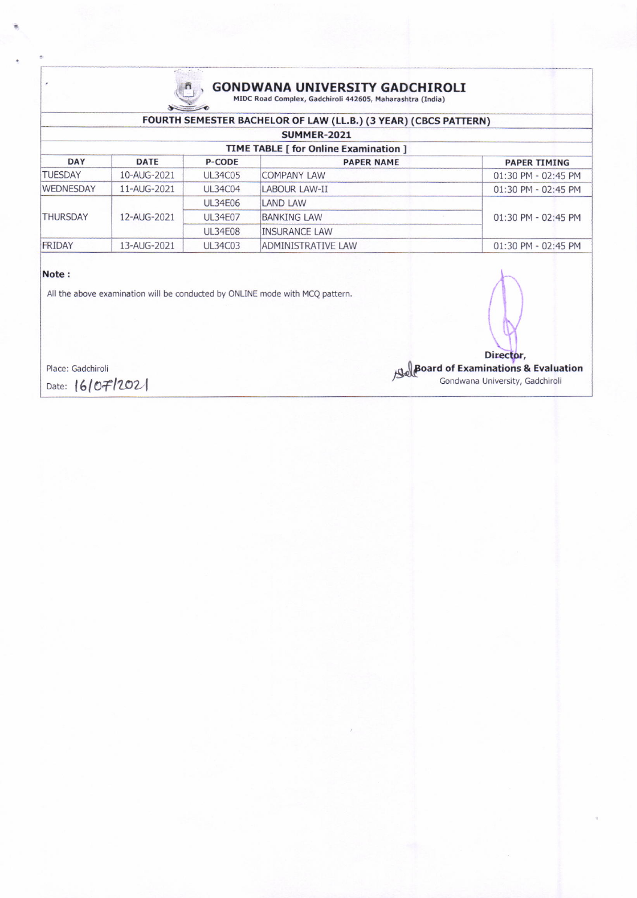

# **GONDWANA UNIVERSITY GADCHIROLI** MIDC Road Complex, Gadchiroli 442605, Maharashtra (India)

| FOURTH SEMESTER BACHELOR OF LAW (LL.B.) (3 YEAR) (CBCS PATTERN) |             |                |                      |                     |  |  |  |  |
|-----------------------------------------------------------------|-------------|----------------|----------------------|---------------------|--|--|--|--|
| <b>SUMMER-2021</b>                                              |             |                |                      |                     |  |  |  |  |
| <b>TIME TABLE [ for Online Examination ]</b>                    |             |                |                      |                     |  |  |  |  |
| <b>DAY</b>                                                      | <b>DATE</b> | <b>P-CODE</b>  | <b>PAPER NAME</b>    | <b>PAPER TIMING</b> |  |  |  |  |
| <b>TUESDAY</b>                                                  | 10-AUG-2021 | <b>UL34C05</b> | <b>COMPANY LAW</b>   | 01:30 PM - 02:45 PM |  |  |  |  |
| <b>WEDNESDAY</b>                                                | 11-AUG-2021 | <b>UL34C04</b> | LABOUR LAW-II        | 01:30 PM - 02:45 PM |  |  |  |  |
| <b>THURSDAY</b>                                                 | 12-AUG-2021 | <b>UL34E06</b> | <b>LAND LAW</b>      | 01:30 PM - 02:45 PM |  |  |  |  |
|                                                                 |             | <b>UL34E07</b> | <b>BANKING LAW</b>   |                     |  |  |  |  |
|                                                                 |             | <b>UL34E08</b> | <b>INSURANCE LAW</b> |                     |  |  |  |  |
| FRIDAY                                                          | 13-AUG-2021 | <b>UL34C03</b> | ADMINISTRATIVE LAW   | 01:30 PM - 02:45 PM |  |  |  |  |

## Note:

All the above examination will be conducted by ONLINE mode with MCQ pattern.

Place: Gadchiroli

Director, **Solution** Gondwana University, Gadchiroli

Date: 16/07/2021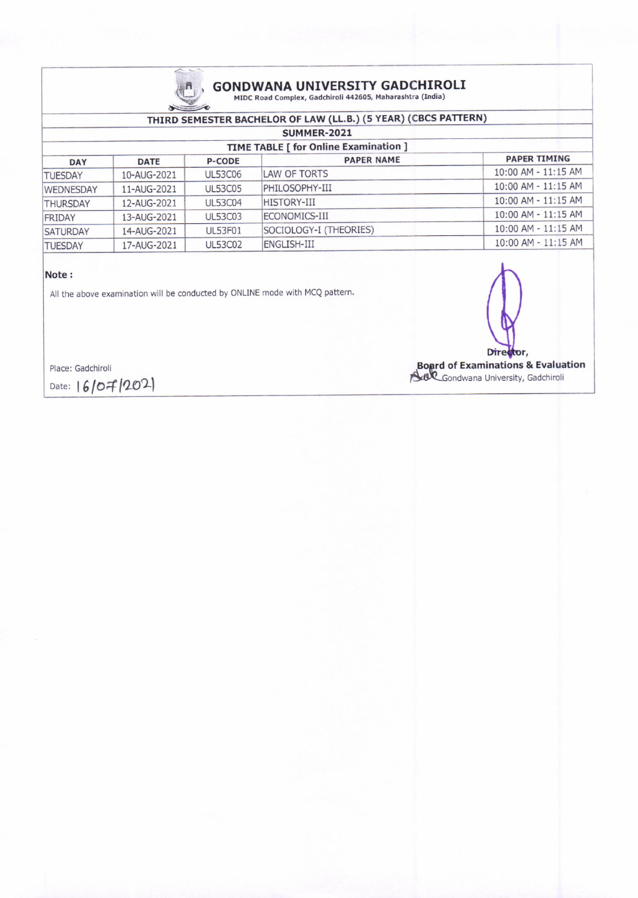

## GONDWANA UNIVERSITY GADCHIROLI<br>MIDC Road Complex, Gadchiroli 442605, Maharashtra (India)

## THIRD SEMESTER BACHELOR OF LAW (LL.B.) (5 YEAR) (CBCS PATTERN)

| <b>SUMMER-2021</b>                    |                |                        |                         |  |  |  |  |
|---------------------------------------|----------------|------------------------|-------------------------|--|--|--|--|
| TIME TABLE [ for Online Examination ] |                |                        |                         |  |  |  |  |
| <b>DATE</b>                           | <b>P-CODE</b>  | <b>PAPER NAME</b>      | <b>PAPER TIMING</b>     |  |  |  |  |
| 10-AUG-2021                           | <b>UL53C06</b> | LAW OF TORTS           | $10:00$ AM - $11:15$ AM |  |  |  |  |
| 11-AUG-2021                           | <b>UL53C05</b> | PHILOSOPHY-III         | $10:00$ AM - $11:15$ AM |  |  |  |  |
| 12-AUG-2021                           | <b>UL53C04</b> | <b>HISTORY-III</b>     | 10:00 AM - 11:15 AM     |  |  |  |  |
| 13-AUG-2021                           | <b>UL53C03</b> | ECONOMICS-III          | 10:00 AM - 11:15 AM     |  |  |  |  |
| 14-AUG-2021                           | <b>UL53F01</b> | SOCIOLOGY-I (THEORIES) | 10:00 AM - 11:15 AM     |  |  |  |  |
| 17-AUG-2021                           | <b>UL53C02</b> | <b>ENGLISH-III</b>     | 10:00 AM - 11:15 AM     |  |  |  |  |
|                                       |                |                        |                         |  |  |  |  |

## Note :

All the above examination will be conducted by ONLINE mode with MCQ pattern.

Director,

Board of Examinations & Evaluation **A4R**-Gondwana University, Gadchirol

Place: Gadchiroli

Date:  $16/07/202$